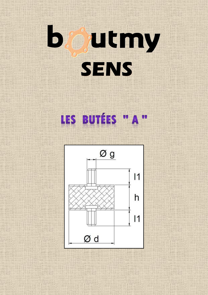## $\overline{\phantom{a}}$ Outmy **SENS**

## LES BUTÉES "A"